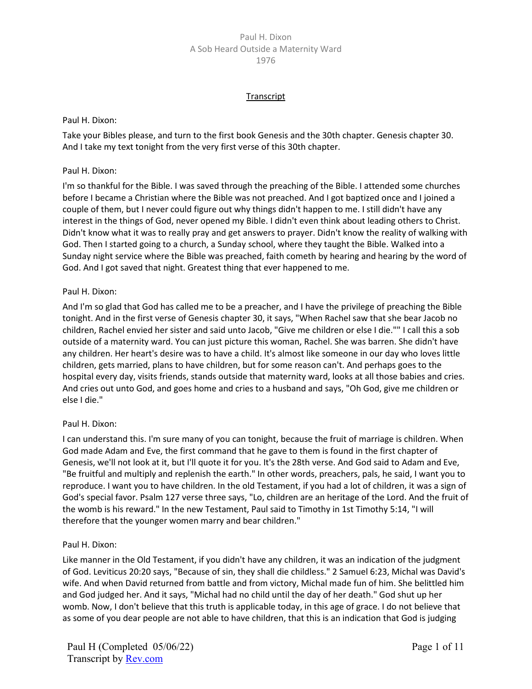#### **Transcript**

#### Paul H. Dixon:

Take your Bibles please, and turn to the first book Genesis and the 30th chapter. Genesis chapter 30. And I take my text tonight from the very first verse of this 30th chapter.

#### Paul H. Dixon:

I'm so thankful for the Bible. I was saved through the preaching of the Bible. I attended some churches before I became a Christian where the Bible was not preached. And I got baptized once and I joined a couple of them, but I never could figure out why things didn't happen to me. I still didn't have any interest in the things of God, never opened my Bible. I didn't even think about leading others to Christ. Didn't know what it was to really pray and get answers to prayer. Didn't know the reality of walking with God. Then I started going to a church, a Sunday school, where they taught the Bible. Walked into a Sunday night service where the Bible was preached, faith cometh by hearing and hearing by the word of God. And I got saved that night. Greatest thing that ever happened to me.

#### Paul H. Dixon:

And I'm so glad that God has called me to be a preacher, and I have the privilege of preaching the Bible tonight. And in the first verse of Genesis chapter 30, it says, "When Rachel saw that she bear Jacob no children, Rachel envied her sister and said unto Jacob, "Give me children or else I die."" I call this a sob outside of a maternity ward. You can just picture this woman, Rachel. She was barren. She didn't have any children. Her heart's desire was to have a child. It's almost like someone in our day who loves little children, gets married, plans to have children, but for some reason can't. And perhaps goes to the hospital every day, visits friends, stands outside that maternity ward, looks at all those babies and cries. And cries out unto God, and goes home and cries to a husband and says, "Oh God, give me children or else I die."

#### Paul H. Dixon:

I can understand this. I'm sure many of you can tonight, because the fruit of marriage is children. When God made Adam and Eve, the first command that he gave to them is found in the first chapter of Genesis, we'll not look at it, but I'll quote it for you. It's the 28th verse. And God said to Adam and Eve, "Be fruitful and multiply and replenish the earth." In other words, preachers, pals, he said, I want you to reproduce. I want you to have children. In the old Testament, if you had a lot of children, it was a sign of God's special favor. Psalm 127 verse three says, "Lo, children are an heritage of the Lord. And the fruit of the womb is his reward." In the new Testament, Paul said to Timothy in 1st Timothy 5:14, "I will therefore that the younger women marry and bear children."

#### Paul H. Dixon:

Like manner in the Old Testament, if you didn't have any children, it was an indication of the judgment of God. Leviticus 20:20 says, "Because of sin, they shall die childless." 2 Samuel 6:23, Michal was David's wife. And when David returned from battle and from victory, Michal made fun of him. She belittled him and God judged her. And it says, "Michal had no child until the day of her death." God shut up her womb. Now, I don't believe that this truth is applicable today, in this age of grace. I do not believe that as some of you dear people are not able to have children, that this is an indication that God is judging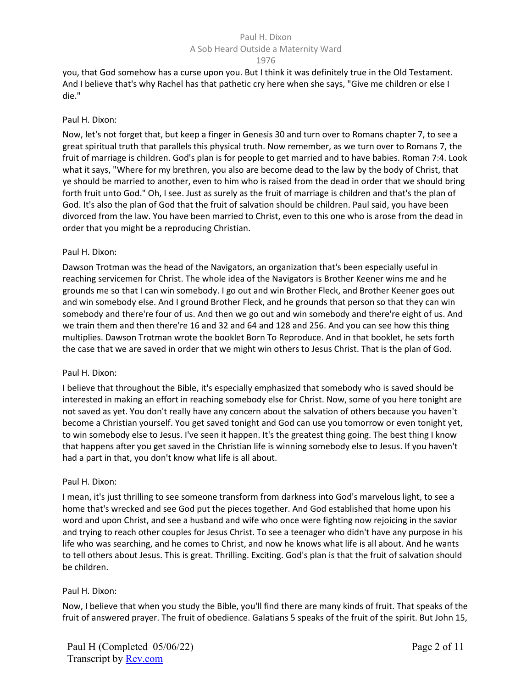#### A Sob Heard Outside a Maternity Ward

1976

you, that God somehow has a curse upon you. But I think it was definitely true in the Old Testament. And I believe that's why Rachel has that pathetic cry here when she says, "Give me children or else I die."

## Paul H. Dixon:

Now, let's not forget that, but keep a finger in Genesis 30 and turn over to Romans chapter 7, to see a great spiritual truth that parallels this physical truth. Now remember, as we turn over to Romans 7, the fruit of marriage is children. God's plan is for people to get married and to have babies. Roman 7:4. Look what it says, "Where for my brethren, you also are become dead to the law by the body of Christ, that ye should be married to another, even to him who is raised from the dead in order that we should bring forth fruit unto God." Oh, I see. Just as surely as the fruit of marriage is children and that's the plan of God. It's also the plan of God that the fruit of salvation should be children. Paul said, you have been divorced from the law. You have been married to Christ, even to this one who is arose from the dead in order that you might be a reproducing Christian.

## Paul H. Dixon:

Dawson Trotman was the head of the Navigators, an organization that's been especially useful in reaching servicemen for Christ. The whole idea of the Navigators is Brother Keener wins me and he grounds me so that I can win somebody. I go out and win Brother Fleck, and Brother Keener goes out and win somebody else. And I ground Brother Fleck, and he grounds that person so that they can win somebody and there're four of us. And then we go out and win somebody and there're eight of us. And we train them and then there're 16 and 32 and 64 and 128 and 256. And you can see how this thing multiplies. Dawson Trotman wrote the booklet Born To Reproduce. And in that booklet, he sets forth the case that we are saved in order that we might win others to Jesus Christ. That is the plan of God.

## Paul H. Dixon:

I believe that throughout the Bible, it's especially emphasized that somebody who is saved should be interested in making an effort in reaching somebody else for Christ. Now, some of you here tonight are not saved as yet. You don't really have any concern about the salvation of others because you haven't become a Christian yourself. You get saved tonight and God can use you tomorrow or even tonight yet, to win somebody else to Jesus. I've seen it happen. It's the greatest thing going. The best thing I know that happens after you get saved in the Christian life is winning somebody else to Jesus. If you haven't had a part in that, you don't know what life is all about.

## Paul H. Dixon:

I mean, it's just thrilling to see someone transform from darkness into God's marvelous light, to see a home that's wrecked and see God put the pieces together. And God established that home upon his word and upon Christ, and see a husband and wife who once were fighting now rejoicing in the savior and trying to reach other couples for Jesus Christ. To see a teenager who didn't have any purpose in his life who was searching, and he comes to Christ, and now he knows what life is all about. And he wants to tell others about Jesus. This is great. Thrilling. Exciting. God's plan is that the fruit of salvation should be children.

## Paul H. Dixon:

Now, I believe that when you study the Bible, you'll find there are many kinds of fruit. That speaks of the fruit of answered prayer. The fruit of obedience. Galatians 5 speaks of the fruit of the spirit. But John 15,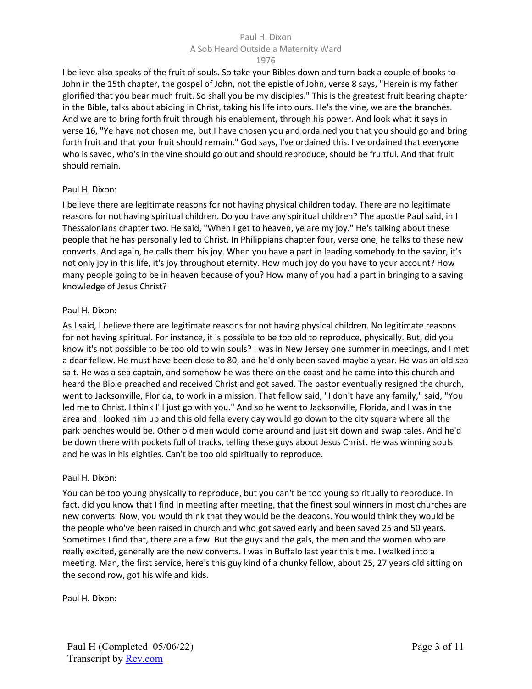#### 1976

I believe also speaks of the fruit of souls. So take your Bibles down and turn back a couple of books to John in the 15th chapter, the gospel of John, not the epistle of John, verse 8 says, "Herein is my father glorified that you bear much fruit. So shall you be my disciples." This is the greatest fruit bearing chapter in the Bible, talks about abiding in Christ, taking his life into ours. He's the vine, we are the branches. And we are to bring forth fruit through his enablement, through his power. And look what it says in verse 16, "Ye have not chosen me, but I have chosen you and ordained you that you should go and bring forth fruit and that your fruit should remain." God says, I've ordained this. I've ordained that everyone who is saved, who's in the vine should go out and should reproduce, should be fruitful. And that fruit should remain.

#### Paul H. Dixon:

I believe there are legitimate reasons for not having physical children today. There are no legitimate reasons for not having spiritual children. Do you have any spiritual children? The apostle Paul said, in I Thessalonians chapter two. He said, "When I get to heaven, ye are my joy." He's talking about these people that he has personally led to Christ. In Philippians chapter four, verse one, he talks to these new converts. And again, he calls them his joy. When you have a part in leading somebody to the savior, it's not only joy in this life, it's joy throughout eternity. How much joy do you have to your account? How many people going to be in heaven because of you? How many of you had a part in bringing to a saving knowledge of Jesus Christ?

#### Paul H. Dixon:

As I said, I believe there are legitimate reasons for not having physical children. No legitimate reasons for not having spiritual. For instance, it is possible to be too old to reproduce, physically. But, did you know it's not possible to be too old to win souls? I was in New Jersey one summer in meetings, and I met a dear fellow. He must have been close to 80, and he'd only been saved maybe a year. He was an old sea salt. He was a sea captain, and somehow he was there on the coast and he came into this church and heard the Bible preached and received Christ and got saved. The pastor eventually resigned the church, went to Jacksonville, Florida, to work in a mission. That fellow said, "I don't have any family," said, "You led me to Christ. I think I'll just go with you." And so he went to Jacksonville, Florida, and I was in the area and I looked him up and this old fella every day would go down to the city square where all the park benches would be. Other old men would come around and just sit down and swap tales. And he'd be down there with pockets full of tracks, telling these guys about Jesus Christ. He was winning souls and he was in his eighties. Can't be too old spiritually to reproduce.

#### Paul H. Dixon:

You can be too young physically to reproduce, but you can't be too young spiritually to reproduce. In fact, did you know that I find in meeting after meeting, that the finest soul winners in most churches are new converts. Now, you would think that they would be the deacons. You would think they would be the people who've been raised in church and who got saved early and been saved 25 and 50 years. Sometimes I find that, there are a few. But the guys and the gals, the men and the women who are really excited, generally are the new converts. I was in Buffalo last year this time. I walked into a meeting. Man, the first service, here's this guy kind of a chunky fellow, about 25, 27 years old sitting on the second row, got his wife and kids.

Paul H. Dixon: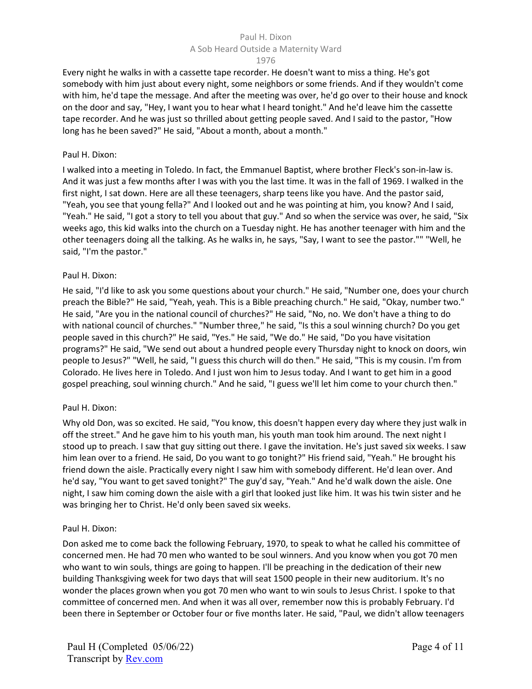#### A Sob Heard Outside a Maternity Ward

#### 1976

Every night he walks in with a cassette tape recorder. He doesn't want to miss a thing. He's got somebody with him just about every night, some neighbors or some friends. And if they wouldn't come with him, he'd tape the message. And after the meeting was over, he'd go over to their house and knock on the door and say, "Hey, I want you to hear what I heard tonight." And he'd leave him the cassette tape recorder. And he was just so thrilled about getting people saved. And I said to the pastor, "How long has he been saved?" He said, "About a month, about a month."

#### Paul H. Dixon:

I walked into a meeting in Toledo. In fact, the Emmanuel Baptist, where brother Fleck's son-in-law is. And it was just a few months after I was with you the last time. It was in the fall of 1969. I walked in the first night, I sat down. Here are all these teenagers, sharp teens like you have. And the pastor said, "Yeah, you see that young fella?" And I looked out and he was pointing at him, you know? And I said, "Yeah." He said, "I got a story to tell you about that guy." And so when the service was over, he said, "Six weeks ago, this kid walks into the church on a Tuesday night. He has another teenager with him and the other teenagers doing all the talking. As he walks in, he says, "Say, I want to see the pastor."" "Well, he said, "I'm the pastor."

## Paul H. Dixon:

He said, "I'd like to ask you some questions about your church." He said, "Number one, does your church preach the Bible?" He said, "Yeah, yeah. This is a Bible preaching church." He said, "Okay, number two." He said, "Are you in the national council of churches?" He said, "No, no. We don't have a thing to do with national council of churches." "Number three," he said, "Is this a soul winning church? Do you get people saved in this church?" He said, "Yes." He said, "We do." He said, "Do you have visitation programs?" He said, "We send out about a hundred people every Thursday night to knock on doors, win people to Jesus?" "Well, he said, "I guess this church will do then." He said, "This is my cousin. I'm from Colorado. He lives here in Toledo. And I just won him to Jesus today. And I want to get him in a good gospel preaching, soul winning church." And he said, "I guess we'll let him come to your church then."

## Paul H. Dixon:

Why old Don, was so excited. He said, "You know, this doesn't happen every day where they just walk in off the street." And he gave him to his youth man, his youth man took him around. The next night I stood up to preach. I saw that guy sitting out there. I gave the invitation. He's just saved six weeks. I saw him lean over to a friend. He said, Do you want to go tonight?" His friend said, "Yeah." He brought his friend down the aisle. Practically every night I saw him with somebody different. He'd lean over. And he'd say, "You want to get saved tonight?" The guy'd say, "Yeah." And he'd walk down the aisle. One night, I saw him coming down the aisle with a girl that looked just like him. It was his twin sister and he was bringing her to Christ. He'd only been saved six weeks.

## Paul H. Dixon:

Don asked me to come back the following February, 1970, to speak to what he called his committee of concerned men. He had 70 men who wanted to be soul winners. And you know when you got 70 men who want to win souls, things are going to happen. I'll be preaching in the dedication of their new building Thanksgiving week for two days that will seat 1500 people in their new auditorium. It's no wonder the places grown when you got 70 men who want to win souls to Jesus Christ. I spoke to that committee of concerned men. And when it was all over, remember now this is probably February. I'd been there in September or October four or five months later. He said, "Paul, we didn't allow teenagers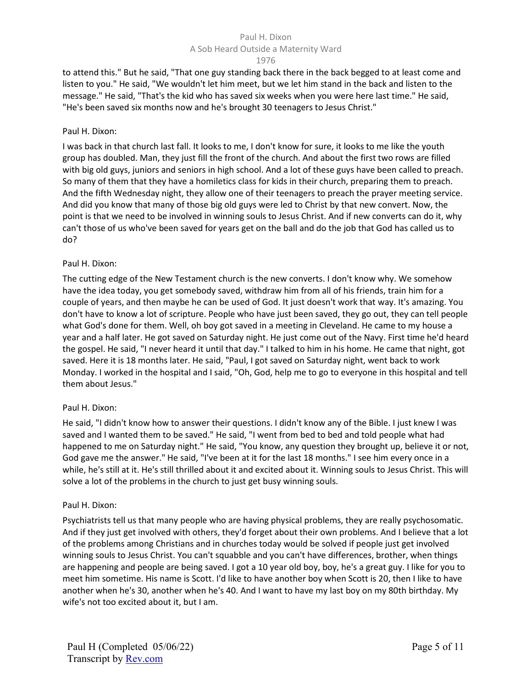#### A Sob Heard Outside a Maternity Ward

#### 1976

to attend this." But he said, "That one guy standing back there in the back begged to at least come and listen to you." He said, "We wouldn't let him meet, but we let him stand in the back and listen to the message." He said, "That's the kid who has saved six weeks when you were here last time." He said, "He's been saved six months now and he's brought 30 teenagers to Jesus Christ."

## Paul H. Dixon:

I was back in that church last fall. It looks to me, I don't know for sure, it looks to me like the youth group has doubled. Man, they just fill the front of the church. And about the first two rows are filled with big old guys, juniors and seniors in high school. And a lot of these guys have been called to preach. So many of them that they have a homiletics class for kids in their church, preparing them to preach. And the fifth Wednesday night, they allow one of their teenagers to preach the prayer meeting service. And did you know that many of those big old guys were led to Christ by that new convert. Now, the point is that we need to be involved in winning souls to Jesus Christ. And if new converts can do it, why can't those of us who've been saved for years get on the ball and do the job that God has called us to do?

## Paul H. Dixon:

The cutting edge of the New Testament church is the new converts. I don't know why. We somehow have the idea today, you get somebody saved, withdraw him from all of his friends, train him for a couple of years, and then maybe he can be used of God. It just doesn't work that way. It's amazing. You don't have to know a lot of scripture. People who have just been saved, they go out, they can tell people what God's done for them. Well, oh boy got saved in a meeting in Cleveland. He came to my house a year and a half later. He got saved on Saturday night. He just come out of the Navy. First time he'd heard the gospel. He said, "I never heard it until that day." I talked to him in his home. He came that night, got saved. Here it is 18 months later. He said, "Paul, I got saved on Saturday night, went back to work Monday. I worked in the hospital and I said, "Oh, God, help me to go to everyone in this hospital and tell them about Jesus."

## Paul H. Dixon:

He said, "I didn't know how to answer their questions. I didn't know any of the Bible. I just knew I was saved and I wanted them to be saved." He said, "I went from bed to bed and told people what had happened to me on Saturday night." He said, "You know, any question they brought up, believe it or not, God gave me the answer." He said, "I've been at it for the last 18 months." I see him every once in a while, he's still at it. He's still thrilled about it and excited about it. Winning souls to Jesus Christ. This will solve a lot of the problems in the church to just get busy winning souls.

## Paul H. Dixon:

Psychiatrists tell us that many people who are having physical problems, they are really psychosomatic. And if they just get involved with others, they'd forget about their own problems. And I believe that a lot of the problems among Christians and in churches today would be solved if people just get involved winning souls to Jesus Christ. You can't squabble and you can't have differences, brother, when things are happening and people are being saved. I got a 10 year old boy, boy, he's a great guy. I like for you to meet him sometime. His name is Scott. I'd like to have another boy when Scott is 20, then I like to have another when he's 30, another when he's 40. And I want to have my last boy on my 80th birthday. My wife's not too excited about it, but I am.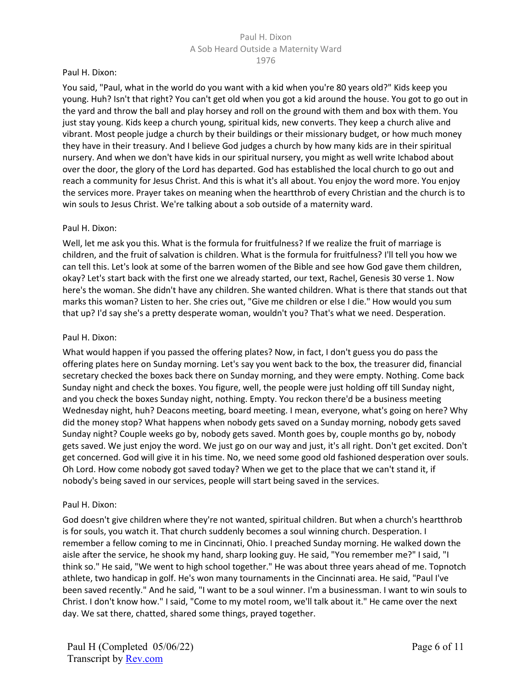#### Paul H. Dixon:

You said, "Paul, what in the world do you want with a kid when you're 80 years old?" Kids keep you young. Huh? Isn't that right? You can't get old when you got a kid around the house. You got to go out in the yard and throw the ball and play horsey and roll on the ground with them and box with them. You just stay young. Kids keep a church young, spiritual kids, new converts. They keep a church alive and vibrant. Most people judge a church by their buildings or their missionary budget, or how much money they have in their treasury. And I believe God judges a church by how many kids are in their spiritual nursery. And when we don't have kids in our spiritual nursery, you might as well write Ichabod about over the door, the glory of the Lord has departed. God has established the local church to go out and reach a community for Jesus Christ. And this is what it's all about. You enjoy the word more. You enjoy the services more. Prayer takes on meaning when the heartthrob of every Christian and the church is to win souls to Jesus Christ. We're talking about a sob outside of a maternity ward.

#### Paul H. Dixon:

Well, let me ask you this. What is the formula for fruitfulness? If we realize the fruit of marriage is children, and the fruit of salvation is children. What is the formula for fruitfulness? I'll tell you how we can tell this. Let's look at some of the barren women of the Bible and see how God gave them children, okay? Let's start back with the first one we already started, our text, Rachel, Genesis 30 verse 1. Now here's the woman. She didn't have any children. She wanted children. What is there that stands out that marks this woman? Listen to her. She cries out, "Give me children or else I die." How would you sum that up? I'd say she's a pretty desperate woman, wouldn't you? That's what we need. Desperation.

#### Paul H. Dixon:

What would happen if you passed the offering plates? Now, in fact, I don't guess you do pass the offering plates here on Sunday morning. Let's say you went back to the box, the treasurer did, financial secretary checked the boxes back there on Sunday morning, and they were empty. Nothing. Come back Sunday night and check the boxes. You figure, well, the people were just holding off till Sunday night, and you check the boxes Sunday night, nothing. Empty. You reckon there'd be a business meeting Wednesday night, huh? Deacons meeting, board meeting. I mean, everyone, what's going on here? Why did the money stop? What happens when nobody gets saved on a Sunday morning, nobody gets saved Sunday night? Couple weeks go by, nobody gets saved. Month goes by, couple months go by, nobody gets saved. We just enjoy the word. We just go on our way and just, it's all right. Don't get excited. Don't get concerned. God will give it in his time. No, we need some good old fashioned desperation over souls. Oh Lord. How come nobody got saved today? When we get to the place that we can't stand it, if nobody's being saved in our services, people will start being saved in the services.

## Paul H. Dixon:

God doesn't give children where they're not wanted, spiritual children. But when a church's heartthrob is for souls, you watch it. That church suddenly becomes a soul winning church. Desperation. I remember a fellow coming to me in Cincinnati, Ohio. I preached Sunday morning. He walked down the aisle after the service, he shook my hand, sharp looking guy. He said, "You remember me?" I said, "I think so." He said, "We went to high school together." He was about three years ahead of me. Topnotch athlete, two handicap in golf. He's won many tournaments in the Cincinnati area. He said, "Paul I've been saved recently." And he said, "I want to be a soul winner. I'm a businessman. I want to win souls to Christ. I don't know how." I said, "Come to my motel room, we'll talk about it." He came over the next day. We sat there, chatted, shared some things, prayed together.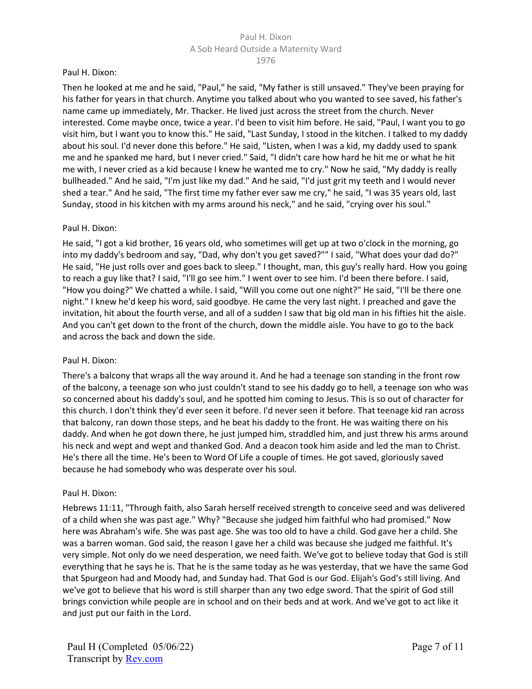#### Paul H. Dixon:

Then he looked at me and he said, "Paul," he said, "My father is still unsaved." They've been praying for his father for years in that church. Anytime you talked about who you wanted to see saved, his father's name came up immediately, Mr. Thacker. He lived just across the street from the church. Never interested. Come maybe once, twice a year. I'd been to visit him before. He said, "Paul, I want you to go visit him, but I want you to know this." He said, "Last Sunday, I stood in the kitchen. I talked to my daddy about his soul. I'd never done this before." He said, "Listen, when I was a kid, my daddy used to spank me and he spanked me hard, but I never cried." Said, "I didn't care how hard he hit me or what he hit me with, I never cried as a kid because I knew he wanted me to cry." Now he said, "My daddy is really bullheaded." And he said, "I'm just like my dad." And he said, "I'd just grit my teeth and I would never shed a tear." And he said, "The first time my father ever saw me cry," he said, "I was 35 years old, last Sunday, stood in his kitchen with my arms around his neck," and he said, "crying over his soul."

#### Paul H. Dixon:

He said, "I got a kid brother, 16 years old, who sometimes will get up at two o'clock in the morning, go into my daddy's bedroom and say, "Dad, why don't you get saved?"" I said, "What does your dad do?" He said, "He just rolls over and goes back to sleep." I thought, man, this guy's really hard. How you going to reach a guy like that? I said, "I'll go see him." I went over to see him. I'd been there before. I said, "How you doing?" We chatted a while. I said, "Will you come out one night?" He said, "I'll be there one night." I knew he'd keep his word, said goodbye. He came the very last night. I preached and gave the invitation, hit about the fourth verse, and all of a sudden I saw that big old man in his fifties hit the aisle. And you can't get down to the front of the church, down the middle aisle. You have to go to the back and across the back and down the side.

#### Paul H. Dixon:

There's a balcony that wraps all the way around it. And he had a teenage son standing in the front row of the balcony, a teenage son who just couldn't stand to see his daddy go to hell, a teenage son who was so concerned about his daddy's soul, and he spotted him coming to Jesus. This is so out of character for this church. I don't think they'd ever seen it before. I'd never seen it before. That teenage kid ran across that balcony, ran down those steps, and he beat his daddy to the front. He was waiting there on his daddy. And when he got down there, he just jumped him, straddled him, and just threw his arms around his neck and wept and wept and thanked God. And a deacon took him aside and led the man to Christ. He's there all the time. He's been to Word Of Life a couple of times. He got saved, gloriously saved because he had somebody who was desperate over his soul.

#### Paul H. Dixon:

Hebrews 11:11, "Through faith, also Sarah herself received strength to conceive seed and was delivered of a child when she was past age." Why? "Because she judged him faithful who had promised." Now here was Abraham's wife. She was past age. She was too old to have a child. God gave her a child. She was a barren woman. God said, the reason I gave her a child was because she judged me faithful. It's very simple. Not only do we need desperation, we need faith. We've got to believe today that God is still everything that he says he is. That he is the same today as he was yesterday, that we have the same God that Spurgeon had and Moody had, and Sunday had. That God is our God. Elijah's God's still living. And we've got to believe that his word is still sharper than any two edge sword. That the spirit of God still brings conviction while people are in school and on their beds and at work. And we've got to act like it and just put our faith in the Lord.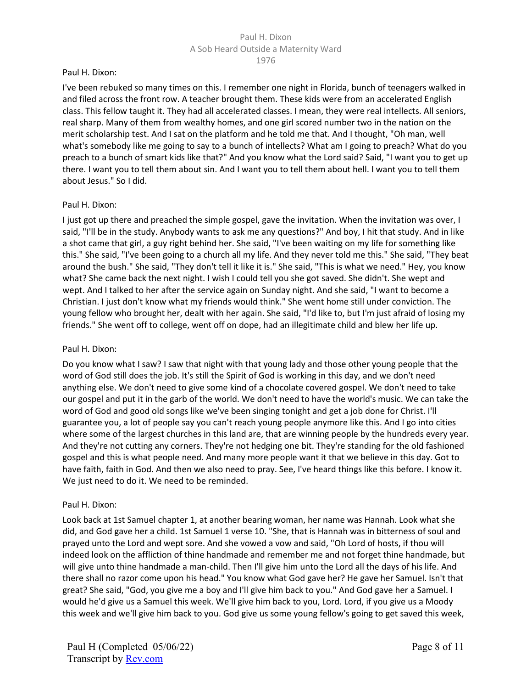#### Paul H. Dixon:

I've been rebuked so many times on this. I remember one night in Florida, bunch of teenagers walked in and filed across the front row. A teacher brought them. These kids were from an accelerated English class. This fellow taught it. They had all accelerated classes. I mean, they were real intellects. All seniors, real sharp. Many of them from wealthy homes, and one girl scored number two in the nation on the merit scholarship test. And I sat on the platform and he told me that. And I thought, "Oh man, well what's somebody like me going to say to a bunch of intellects? What am I going to preach? What do you preach to a bunch of smart kids like that?" And you know what the Lord said? Said, "I want you to get up there. I want you to tell them about sin. And I want you to tell them about hell. I want you to tell them about Jesus." So I did.

#### Paul H. Dixon:

I just got up there and preached the simple gospel, gave the invitation. When the invitation was over, I said, "I'll be in the study. Anybody wants to ask me any questions?" And boy, I hit that study. And in like a shot came that girl, a guy right behind her. She said, "I've been waiting on my life for something like this." She said, "I've been going to a church all my life. And they never told me this." She said, "They beat around the bush." She said, "They don't tell it like it is." She said, "This is what we need." Hey, you know what? She came back the next night. I wish I could tell you she got saved. She didn't. She wept and wept. And I talked to her after the service again on Sunday night. And she said, "I want to become a Christian. I just don't know what my friends would think." She went home still under conviction. The young fellow who brought her, dealt with her again. She said, "I'd like to, but I'm just afraid of losing my friends." She went off to college, went off on dope, had an illegitimate child and blew her life up.

#### Paul H. Dixon:

Do you know what I saw? I saw that night with that young lady and those other young people that the word of God still does the job. It's still the Spirit of God is working in this day, and we don't need anything else. We don't need to give some kind of a chocolate covered gospel. We don't need to take our gospel and put it in the garb of the world. We don't need to have the world's music. We can take the word of God and good old songs like we've been singing tonight and get a job done for Christ. I'll guarantee you, a lot of people say you can't reach young people anymore like this. And I go into cities where some of the largest churches in this land are, that are winning people by the hundreds every year. And they're not cutting any corners. They're not hedging one bit. They're standing for the old fashioned gospel and this is what people need. And many more people want it that we believe in this day. Got to have faith, faith in God. And then we also need to pray. See, I've heard things like this before. I know it. We just need to do it. We need to be reminded.

## Paul H. Dixon:

Look back at 1st Samuel chapter 1, at another bearing woman, her name was Hannah. Look what she did, and God gave her a child. 1st Samuel 1 verse 10. "She, that is Hannah was in bitterness of soul and prayed unto the Lord and wept sore. And she vowed a vow and said, "Oh Lord of hosts, if thou will indeed look on the affliction of thine handmade and remember me and not forget thine handmade, but will give unto thine handmade a man-child. Then I'll give him unto the Lord all the days of his life. And there shall no razor come upon his head." You know what God gave her? He gave her Samuel. Isn't that great? She said, "God, you give me a boy and I'll give him back to you." And God gave her a Samuel. I would he'd give us a Samuel this week. We'll give him back to you, Lord. Lord, if you give us a Moody this week and we'll give him back to you. God give us some young fellow's going to get saved this week,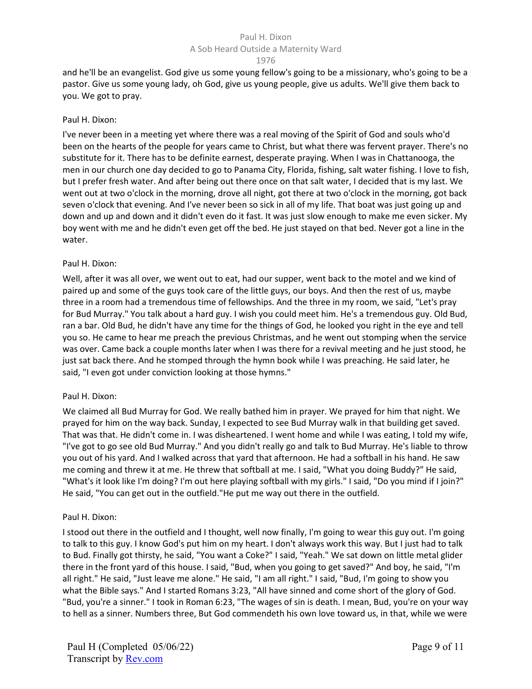## A Sob Heard Outside a Maternity Ward

1976

and he'll be an evangelist. God give us some young fellow's going to be a missionary, who's going to be a pastor. Give us some young lady, oh God, give us young people, give us adults. We'll give them back to you. We got to pray.

#### Paul H. Dixon:

I've never been in a meeting yet where there was a real moving of the Spirit of God and souls who'd been on the hearts of the people for years came to Christ, but what there was fervent prayer. There's no substitute for it. There has to be definite earnest, desperate praying. When I was in Chattanooga, the men in our church one day decided to go to Panama City, Florida, fishing, salt water fishing. I love to fish, but I prefer fresh water. And after being out there once on that salt water, I decided that is my last. We went out at two o'clock in the morning, drove all night, got there at two o'clock in the morning, got back seven o'clock that evening. And I've never been so sick in all of my life. That boat was just going up and down and up and down and it didn't even do it fast. It was just slow enough to make me even sicker. My boy went with me and he didn't even get off the bed. He just stayed on that bed. Never got a line in the water.

## Paul H. Dixon:

Well, after it was all over, we went out to eat, had our supper, went back to the motel and we kind of paired up and some of the guys took care of the little guys, our boys. And then the rest of us, maybe three in a room had a tremendous time of fellowships. And the three in my room, we said, "Let's pray for Bud Murray." You talk about a hard guy. I wish you could meet him. He's a tremendous guy. Old Bud, ran a bar. Old Bud, he didn't have any time for the things of God, he looked you right in the eye and tell you so. He came to hear me preach the previous Christmas, and he went out stomping when the service was over. Came back a couple months later when I was there for a revival meeting and he just stood, he just sat back there. And he stomped through the hymn book while I was preaching. He said later, he said, "I even got under conviction looking at those hymns."

## Paul H. Dixon:

We claimed all Bud Murray for God. We really bathed him in prayer. We prayed for him that night. We prayed for him on the way back. Sunday, I expected to see Bud Murray walk in that building get saved. That was that. He didn't come in. I was disheartened. I went home and while I was eating, I told my wife, "I've got to go see old Bud Murray." And you didn't really go and talk to Bud Murray. He's liable to throw you out of his yard. And I walked across that yard that afternoon. He had a softball in his hand. He saw me coming and threw it at me. He threw that softball at me. I said, "What you doing Buddy?" He said, "What's it look like I'm doing? I'm out here playing softball with my girls." I said, "Do you mind if I join?" He said, "You can get out in the outfield."He put me way out there in the outfield.

#### Paul H. Dixon:

I stood out there in the outfield and I thought, well now finally, I'm going to wear this guy out. I'm going to talk to this guy. I know God's put him on my heart. I don't always work this way. But I just had to talk to Bud. Finally got thirsty, he said, "You want a Coke?" I said, "Yeah." We sat down on little metal glider there in the front yard of this house. I said, "Bud, when you going to get saved?" And boy, he said, "I'm all right." He said, "Just leave me alone." He said, "I am all right." I said, "Bud, I'm going to show you what the Bible says." And I started Romans 3:23, "All have sinned and come short of the glory of God. "Bud, you're a sinner." I took in Roman 6:23, "The wages of sin is death. I mean, Bud, you're on your way to hell as a sinner. Numbers three, But God commendeth his own love toward us, in that, while we were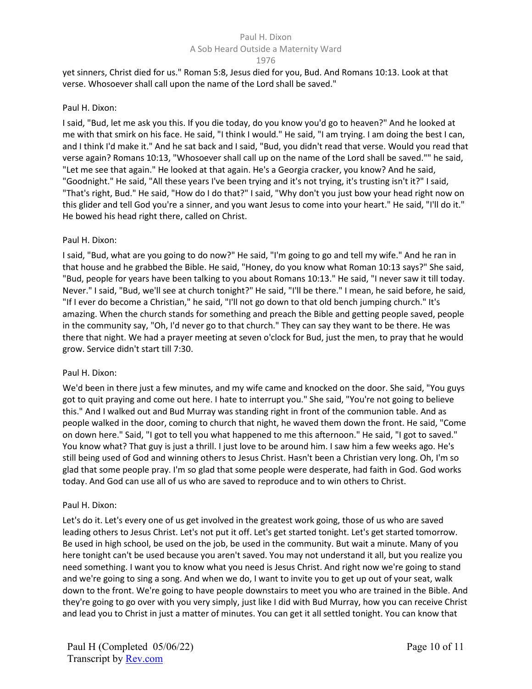#### A Sob Heard Outside a Maternity Ward

1976

yet sinners, Christ died for us." Roman 5:8, Jesus died for you, Bud. And Romans 10:13. Look at that verse. Whosoever shall call upon the name of the Lord shall be saved."

#### Paul H. Dixon:

I said, "Bud, let me ask you this. If you die today, do you know you'd go to heaven?" And he looked at me with that smirk on his face. He said, "I think I would." He said, "I am trying. I am doing the best I can, and I think I'd make it." And he sat back and I said, "Bud, you didn't read that verse. Would you read that verse again? Romans 10:13, "Whosoever shall call up on the name of the Lord shall be saved."" he said, "Let me see that again." He looked at that again. He's a Georgia cracker, you know? And he said, "Goodnight." He said, "All these years I've been trying and it's not trying, it's trusting isn't it?" I said, "That's right, Bud." He said, "How do I do that?" I said, "Why don't you just bow your head right now on this glider and tell God you're a sinner, and you want Jesus to come into your heart." He said, "I'll do it." He bowed his head right there, called on Christ.

## Paul H. Dixon:

I said, "Bud, what are you going to do now?" He said, "I'm going to go and tell my wife." And he ran in that house and he grabbed the Bible. He said, "Honey, do you know what Roman 10:13 says?" She said, "Bud, people for years have been talking to you about Romans 10:13." He said, "I never saw it till today. Never." I said, "Bud, we'll see at church tonight?" He said, "I'll be there." I mean, he said before, he said, "If I ever do become a Christian," he said, "I'll not go down to that old bench jumping church." It's amazing. When the church stands for something and preach the Bible and getting people saved, people in the community say, "Oh, I'd never go to that church." They can say they want to be there. He was there that night. We had a prayer meeting at seven o'clock for Bud, just the men, to pray that he would grow. Service didn't start till 7:30.

## Paul H. Dixon:

We'd been in there just a few minutes, and my wife came and knocked on the door. She said, "You guys got to quit praying and come out here. I hate to interrupt you." She said, "You're not going to believe this." And I walked out and Bud Murray was standing right in front of the communion table. And as people walked in the door, coming to church that night, he waved them down the front. He said, "Come on down here." Said, "I got to tell you what happened to me this afternoon." He said, "I got to saved." You know what? That guy is just a thrill. I just love to be around him. I saw him a few weeks ago. He's still being used of God and winning others to Jesus Christ. Hasn't been a Christian very long. Oh, I'm so glad that some people pray. I'm so glad that some people were desperate, had faith in God. God works today. And God can use all of us who are saved to reproduce and to win others to Christ.

## Paul H. Dixon:

Let's do it. Let's every one of us get involved in the greatest work going, those of us who are saved leading others to Jesus Christ. Let's not put it off. Let's get started tonight. Let's get started tomorrow. Be used in high school, be used on the job, be used in the community. But wait a minute. Many of you here tonight can't be used because you aren't saved. You may not understand it all, but you realize you need something. I want you to know what you need is Jesus Christ. And right now we're going to stand and we're going to sing a song. And when we do, I want to invite you to get up out of your seat, walk down to the front. We're going to have people downstairs to meet you who are trained in the Bible. And they're going to go over with you very simply, just like I did with Bud Murray, how you can receive Christ and lead you to Christ in just a matter of minutes. You can get it all settled tonight. You can know that